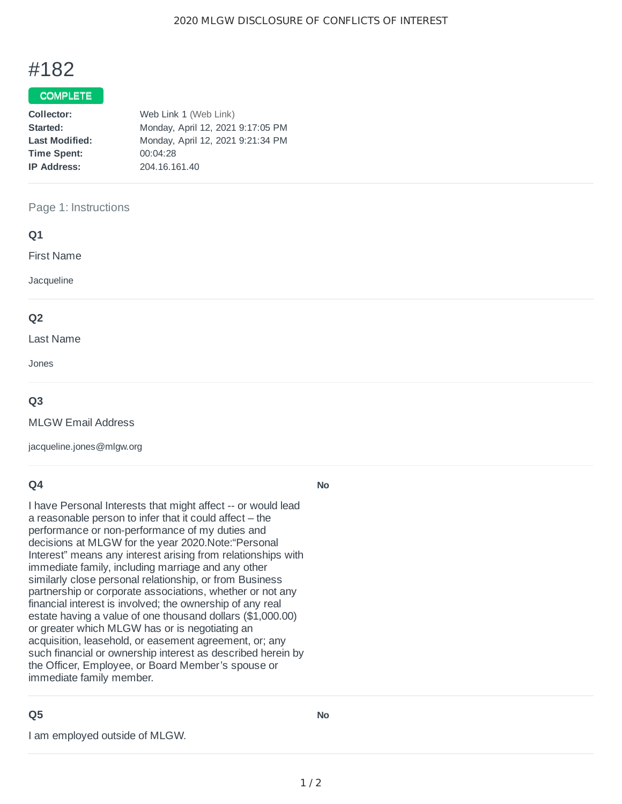# #182

### COMPLETE

| Web Link 1 (Web Link)             |
|-----------------------------------|
| Monday, April 12, 2021 9:17:05 PM |
| Monday, April 12, 2021 9:21:34 PM |
| 00:04:28                          |
| 204.16.161.40                     |
|                                   |

#### Page 1: Instructions

#### **Q1**

First Name

**Jacqueline** 

#### **Q2**

Last Name

Jones

#### **Q3**

MLGW Email Address

jacqueline.jones@mlgw.org

#### **Q4**

I have Personal Interests that might affect -- or would lead a reasonable person to infer that it could affect – the performance or non-performance of my duties and decisions at MLGW for the year 2020.Note:"Personal Interest" means any interest arising from relationships with immediate family, including marriage and any other similarly close personal relationship, or from Business partnership or corporate associations, whether or not any financial interest is involved; the ownership of any real estate having a value of one thousand dollars (\$1,000.00) or greater which MLGW has or is negotiating an acquisition, leasehold, or easement agreement, or; any such financial or ownership interest as described herein by the Officer, Employee, or Board Member's spouse or immediate family member.

## **Q5**

I am employed outside of MLGW.

**No**

**No**